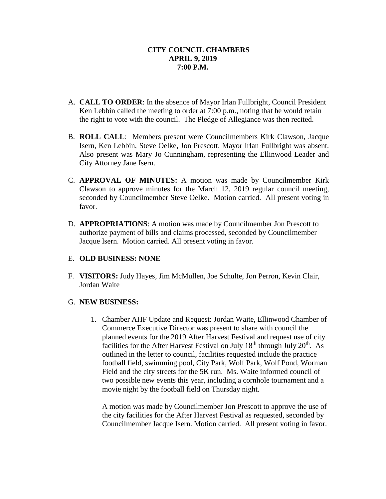### **CITY COUNCIL CHAMBERS APRIL 9, 2019 7:00 P.M.**

- A. **CALL TO ORDER**: In the absence of Mayor Irlan Fullbright, Council President Ken Lebbin called the meeting to order at 7:00 p.m., noting that he would retain the right to vote with the council. The Pledge of Allegiance was then recited.
- B. **ROLL CALL**: Members present were Councilmembers Kirk Clawson, Jacque Isern, Ken Lebbin, Steve Oelke, Jon Prescott. Mayor Irlan Fullbright was absent. Also present was Mary Jo Cunningham, representing the Ellinwood Leader and City Attorney Jane Isern.
- C. **APPROVAL OF MINUTES:** A motion was made by Councilmember Kirk Clawson to approve minutes for the March 12, 2019 regular council meeting, seconded by Councilmember Steve Oelke. Motion carried. All present voting in favor.
- D. **APPROPRIATIONS**: A motion was made by Councilmember Jon Prescott to authorize payment of bills and claims processed, seconded by Councilmember Jacque Isern. Motion carried. All present voting in favor.

## E. **OLD BUSINESS: NONE**

F. **VISITORS:** Judy Hayes, Jim McMullen, Joe Schulte, Jon Perron, Kevin Clair, Jordan Waite

## G. **NEW BUSINESS:**

1. Chamber AHF Update and Request: Jordan Waite, Ellinwood Chamber of Commerce Executive Director was present to share with council the planned events for the 2019 After Harvest Festival and request use of city facilities for the After Harvest Festival on July 18<sup>th</sup> through July 20<sup>th</sup>. As outlined in the letter to council, facilities requested include the practice football field, swimming pool, City Park, Wolf Park, Wolf Pond, Worman Field and the city streets for the 5K run. Ms. Waite informed council of two possible new events this year, including a cornhole tournament and a movie night by the football field on Thursday night.

A motion was made by Councilmember Jon Prescott to approve the use of the city facilities for the After Harvest Festival as requested, seconded by Councilmember Jacque Isern. Motion carried. All present voting in favor.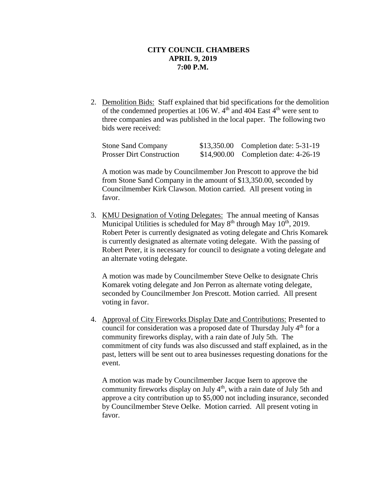#### **CITY COUNCIL CHAMBERS APRIL 9, 2019 7:00 P.M.**

2. Demolition Bids: Staff explained that bid specifications for the demolition of the condemned properties at 106 W.  $4<sup>th</sup>$  and 404 East  $4<sup>th</sup>$  were sent to three companies and was published in the local paper. The following two bids were received:

| <b>Stone Sand Company</b>        | \$13,350.00 Completion date: 5-31-19 |
|----------------------------------|--------------------------------------|
| <b>Prosser Dirt Construction</b> | \$14,900.00 Completion date: 4-26-19 |

A motion was made by Councilmember Jon Prescott to approve the bid from Stone Sand Company in the amount of \$13,350.00, seconded by Councilmember Kirk Clawson. Motion carried. All present voting in favor.

3. KMU Designation of Voting Delegates: The annual meeting of Kansas Municipal Utilities is scheduled for May  $8<sup>th</sup>$  through May  $10<sup>th</sup>$ , 2019. Robert Peter is currently designated as voting delegate and Chris Komarek is currently designated as alternate voting delegate. With the passing of Robert Peter, it is necessary for council to designate a voting delegate and an alternate voting delegate.

A motion was made by Councilmember Steve Oelke to designate Chris Komarek voting delegate and Jon Perron as alternate voting delegate, seconded by Councilmember Jon Prescott. Motion carried. All present voting in favor.

4. Approval of City Fireworks Display Date and Contributions: Presented to council for consideration was a proposed date of Thursday July  $4<sup>th</sup>$  for a community fireworks display, with a rain date of July 5th. The commitment of city funds was also discussed and staff explained, as in the past, letters will be sent out to area businesses requesting donations for the event.

A motion was made by Councilmember Jacque Isern to approve the community fireworks display on July 4<sup>th</sup>, with a rain date of July 5th and approve a city contribution up to \$5,000 not including insurance, seconded by Councilmember Steve Oelke. Motion carried. All present voting in favor.